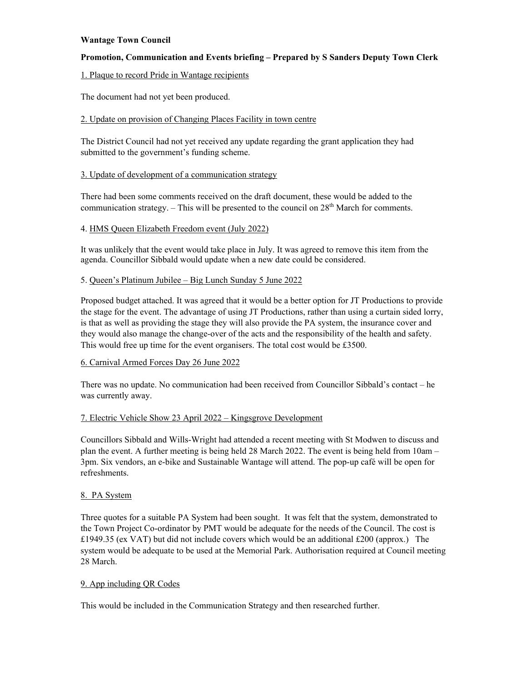# **Wantage Town Council**

# **Promotion, Communication and Events briefing – Prepared by S Sanders Deputy Town Clerk**

## 1. Plaque to record Pride in Wantage recipients

The document had not yet been produced.

## 2. Update on provision of Changing Places Facility in town centre

The District Council had not yet received any update regarding the grant application they had submitted to the government's funding scheme.

## 3. Update of development of a communication strategy

There had been some comments received on the draft document, these would be added to the communication strategy. – This will be presented to the council on  $28<sup>th</sup>$  March for comments.

## 4. HMS Queen Elizabeth Freedom event (July 2022)

It was unlikely that the event would take place in July. It was agreed to remove this item from the agenda. Councillor Sibbald would update when a new date could be considered.

## 5. Queen's Platinum Jubilee – Big Lunch Sunday 5 June 2022

Proposed budget attached. It was agreed that it would be a better option for JT Productions to provide the stage for the event. The advantage of using JT Productions, rather than using a curtain sided lorry, is that as well as providing the stage they will also provide the PA system, the insurance cover and they would also manage the change-over of the acts and the responsibility of the health and safety. This would free up time for the event organisers. The total cost would be £3500.

### 6. Carnival Armed Forces Day 26 June 2022

There was no update. No communication had been received from Councillor Sibbald's contact – he was currently away.

# 7. Electric Vehicle Show 23 April 2022 – Kingsgrove Development

Councillors Sibbald and Wills-Wright had attended a recent meeting with St Modwen to discuss and plan the event. A further meeting is being held 28 March 2022. The event is being held from 10am – 3pm. Six vendors, an e-bike and Sustainable Wantage will attend. The pop-up café will be open for refreshments.

### 8. PA System

Three quotes for a suitable PA System had been sought. It was felt that the system, demonstrated to the Town Project Co-ordinator by PMT would be adequate for the needs of the Council. The cost is £1949.35 (ex VAT) but did not include covers which would be an additional £200 (approx.) The system would be adequate to be used at the Memorial Park. Authorisation required at Council meeting 28 March.

### 9. App including QR Codes

This would be included in the Communication Strategy and then researched further.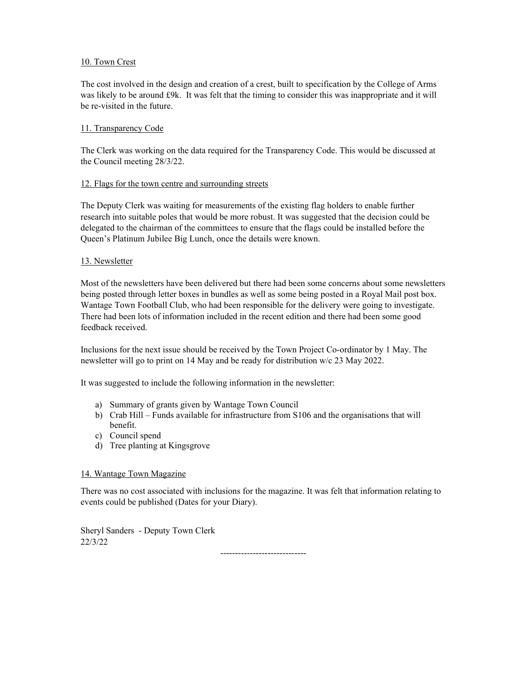# 10. Town Crest

The cost involved in the design and creation of a crest, built to specification by the College of Arms was likely to be around £9k. It was felt that the timing to consider this was inappropriate and it will be re-visited in the future.

# 11. Transparency Code

The Clerk was working on the data required for the Transparency Code. This would be discussed at the Council meeting 28/3/22.

## 12. Flags for the town centre and surrounding streets

The Deputy Clerk was waiting for measurements of the existing flag holders to enable further research into suitable poles that would be more robust. It was suggested that the decision could be delegated to the chairman of the committees to ensure that the flags could be installed before the Queen's Platinum Jubilee Big Lunch, once the details were known.

## 13. Newsletter

Most of the newsletters have been delivered but there had been some concerns about some newsletters being posted through letter boxes in bundles as well as some being posted in a Royal Mail post box. Wantage Town Football Club, who had been responsible for the delivery were going to investigate. There had been lots of information included in the recent edition and there had been some good feedback received.

Inclusions for the next issue should be received by the Town Project Co-ordinator by 1 May. The newsletter will go to print on 14 May and be ready for distribution w/c 23 May 2022.

It was suggested to include the following information in the newsletter:

- a) Summary of grants given by Wantage Town Council
- b) Crab Hill Funds available for infrastructure from S106 and the organisations that will benefit.
- c) Council spend
- d) Tree planting at Kingsgrove

### 14. Wantage Town Magazine

There was no cost associated with inclusions for the magazine. It was felt that information relating to events could be published (Dates for your Diary).

Sheryl Sanders - Deputy Town Clerk 22/3/22

-----------------------------